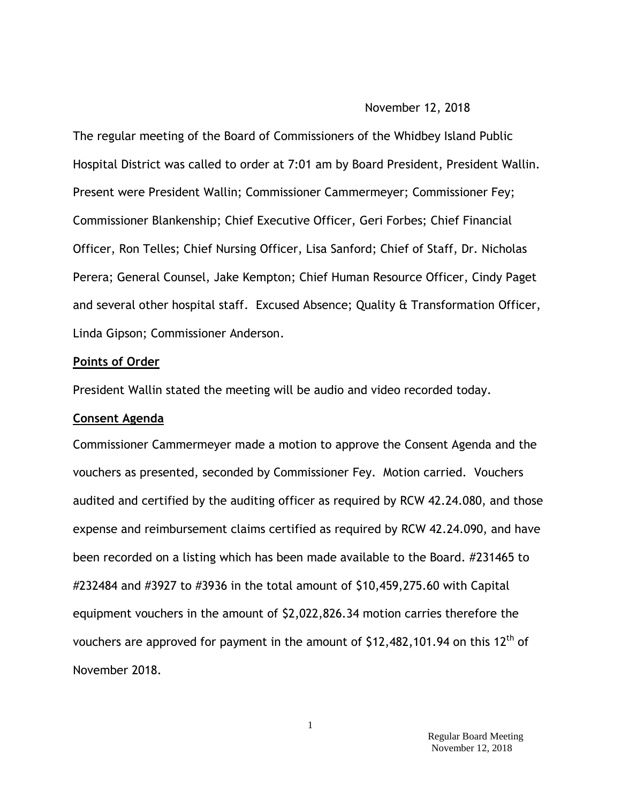#### November 12, 2018

The regular meeting of the Board of Commissioners of the Whidbey Island Public Hospital District was called to order at 7:01 am by Board President, President Wallin. Present were President Wallin; Commissioner Cammermeyer; Commissioner Fey; Commissioner Blankenship; Chief Executive Officer, Geri Forbes; Chief Financial Officer, Ron Telles; Chief Nursing Officer, Lisa Sanford; Chief of Staff, Dr. Nicholas Perera; General Counsel, Jake Kempton; Chief Human Resource Officer, Cindy Paget and several other hospital staff. Excused Absence; Quality & Transformation Officer, Linda Gipson; Commissioner Anderson.

### **Points of Order**

President Wallin stated the meeting will be audio and video recorded today.

### **Consent Agenda**

Commissioner Cammermeyer made a motion to approve the Consent Agenda and the vouchers as presented, seconded by Commissioner Fey. Motion carried. Vouchers audited and certified by the auditing officer as required by RCW 42.24.080, and those expense and reimbursement claims certified as required by RCW 42.24.090, and have been recorded on a listing which has been made available to the Board. #231465 to #232484 and #3927 to #3936 in the total amount of \$10,459,275.60 with Capital equipment vouchers in the amount of \$2,022,826.34 motion carries therefore the vouchers are approved for payment in the amount of  $$12,482,101.94$  on this  $12<sup>th</sup>$  of November 2018.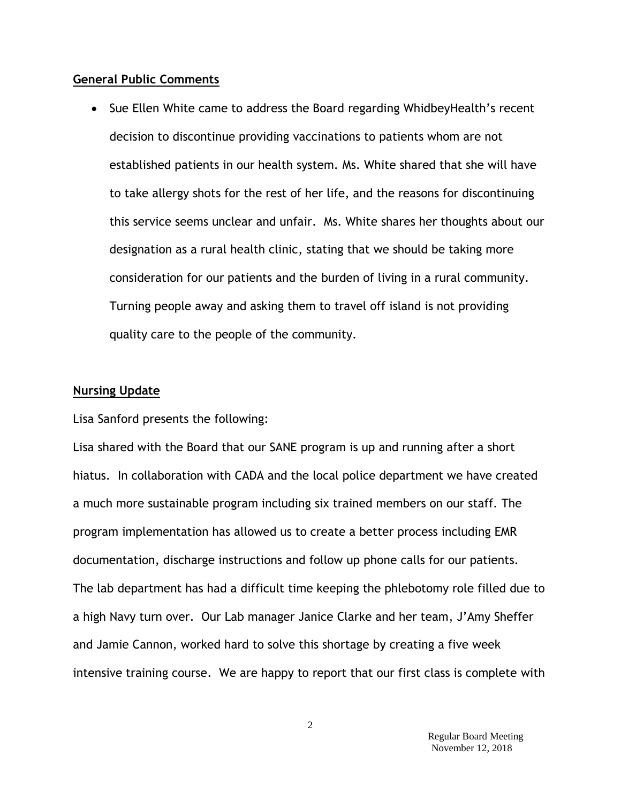### **General Public Comments**

• Sue Ellen White came to address the Board regarding WhidbeyHealth's recent decision to discontinue providing vaccinations to patients whom are not established patients in our health system. Ms. White shared that she will have to take allergy shots for the rest of her life, and the reasons for discontinuing this service seems unclear and unfair. Ms. White shares her thoughts about our designation as a rural health clinic, stating that we should be taking more consideration for our patients and the burden of living in a rural community. Turning people away and asking them to travel off island is not providing quality care to the people of the community.

#### **Nursing Update**

Lisa Sanford presents the following:

Lisa shared with the Board that our SANE program is up and running after a short hiatus. In collaboration with CADA and the local police department we have created a much more sustainable program including six trained members on our staff. The program implementation has allowed us to create a better process including EMR documentation, discharge instructions and follow up phone calls for our patients. The lab department has had a difficult time keeping the phlebotomy role filled due to a high Navy turn over. Our Lab manager Janice Clarke and her team, J'Amy Sheffer and Jamie Cannon, worked hard to solve this shortage by creating a five week intensive training course. We are happy to report that our first class is complete with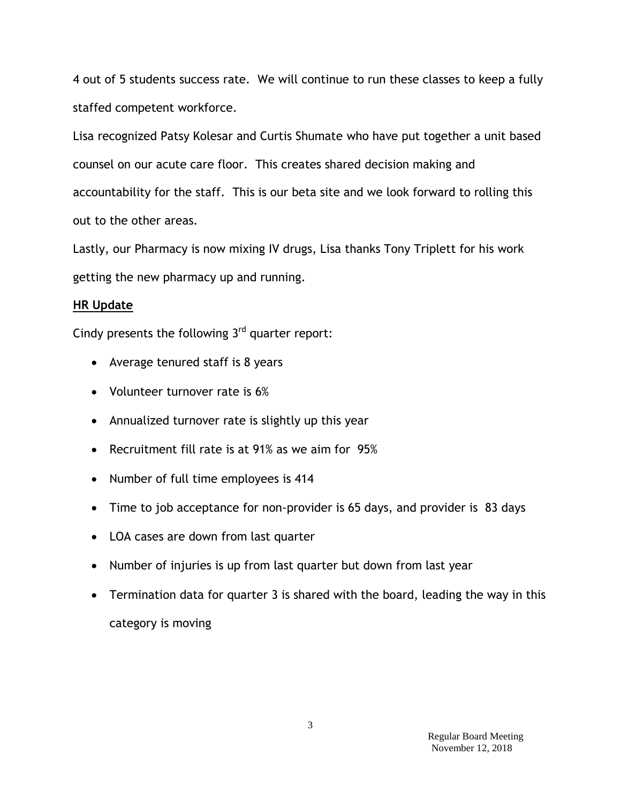4 out of 5 students success rate. We will continue to run these classes to keep a fully staffed competent workforce.

Lisa recognized Patsy Kolesar and Curtis Shumate who have put together a unit based counsel on our acute care floor. This creates shared decision making and accountability for the staff. This is our beta site and we look forward to rolling this out to the other areas.

Lastly, our Pharmacy is now mixing IV drugs, Lisa thanks Tony Triplett for his work getting the new pharmacy up and running.

## **HR Update**

Cindy presents the following  $3<sup>rd</sup>$  quarter report:

- Average tenured staff is 8 years
- Volunteer turnover rate is 6%
- Annualized turnover rate is slightly up this year
- Recruitment fill rate is at 91% as we aim for 95%
- Number of full time employees is 414
- Time to job acceptance for non-provider is 65 days, and provider is 83 days
- LOA cases are down from last quarter
- Number of injuries is up from last quarter but down from last year
- Termination data for quarter 3 is shared with the board, leading the way in this category is moving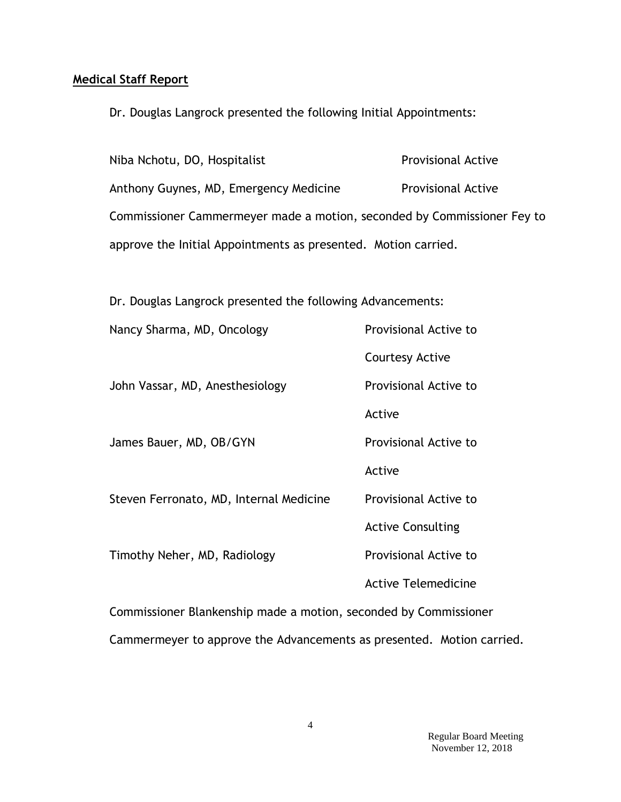## **Medical Staff Report**

Dr. Douglas Langrock presented the following Initial Appointments:

| Niba Nchotu, DO, Hospitalist                                            | <b>Provisional Active</b> |
|-------------------------------------------------------------------------|---------------------------|
| Anthony Guynes, MD, Emergency Medicine                                  | <b>Provisional Active</b> |
| Commissioner Cammermeyer made a motion, seconded by Commissioner Fey to |                           |
| approve the Initial Appointments as presented. Motion carried.          |                           |

Dr. Douglas Langrock presented the following Advancements:

| Nancy Sharma, MD, Oncology                                            | Provisional Active to      |  |
|-----------------------------------------------------------------------|----------------------------|--|
|                                                                       | <b>Courtesy Active</b>     |  |
| John Vassar, MD, Anesthesiology                                       | Provisional Active to      |  |
|                                                                       | Active                     |  |
| James Bauer, MD, OB/GYN                                               | Provisional Active to      |  |
|                                                                       | Active                     |  |
| Steven Ferronato, MD, Internal Medicine                               | Provisional Active to      |  |
|                                                                       | <b>Active Consulting</b>   |  |
| Timothy Neher, MD, Radiology                                          | Provisional Active to      |  |
|                                                                       | <b>Active Telemedicine</b> |  |
| Commissioner Blankenship made a motion, seconded by Commissioner      |                            |  |
| Cammermeyer to approve the Advancements as presented. Motion carried. |                            |  |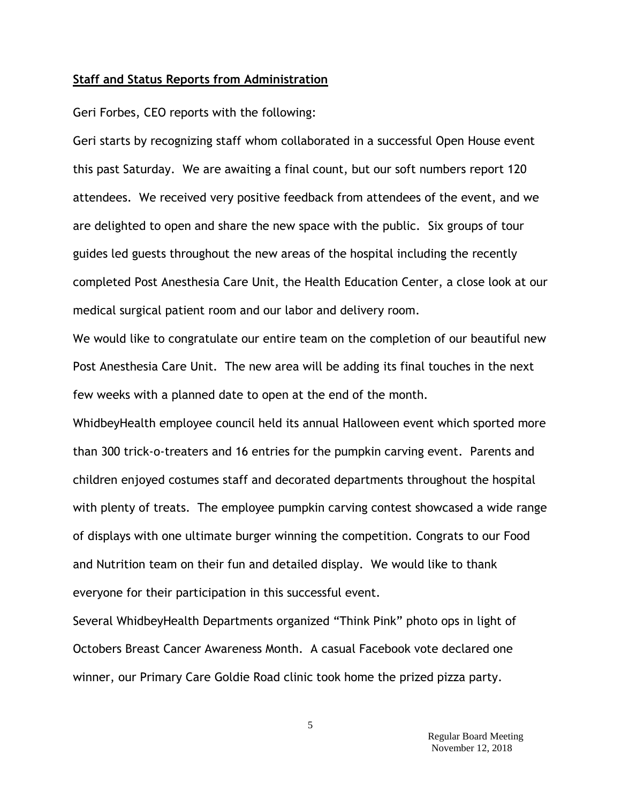#### **Staff and Status Reports from Administration**

Geri Forbes, CEO reports with the following:

Geri starts by recognizing staff whom collaborated in a successful Open House event this past Saturday. We are awaiting a final count, but our soft numbers report 120 attendees. We received very positive feedback from attendees of the event, and we are delighted to open and share the new space with the public. Six groups of tour guides led guests throughout the new areas of the hospital including the recently completed Post Anesthesia Care Unit, the Health Education Center, a close look at our medical surgical patient room and our labor and delivery room.

We would like to congratulate our entire team on the completion of our beautiful new Post Anesthesia Care Unit. The new area will be adding its final touches in the next few weeks with a planned date to open at the end of the month.

WhidbeyHealth employee council held its annual Halloween event which sported more than 300 trick-o-treaters and 16 entries for the pumpkin carving event. Parents and children enjoyed costumes staff and decorated departments throughout the hospital with plenty of treats. The employee pumpkin carving contest showcased a wide range of displays with one ultimate burger winning the competition. Congrats to our Food and Nutrition team on their fun and detailed display. We would like to thank everyone for their participation in this successful event.

Several WhidbeyHealth Departments organized "Think Pink" photo ops in light of Octobers Breast Cancer Awareness Month. A casual Facebook vote declared one winner, our Primary Care Goldie Road clinic took home the prized pizza party.

5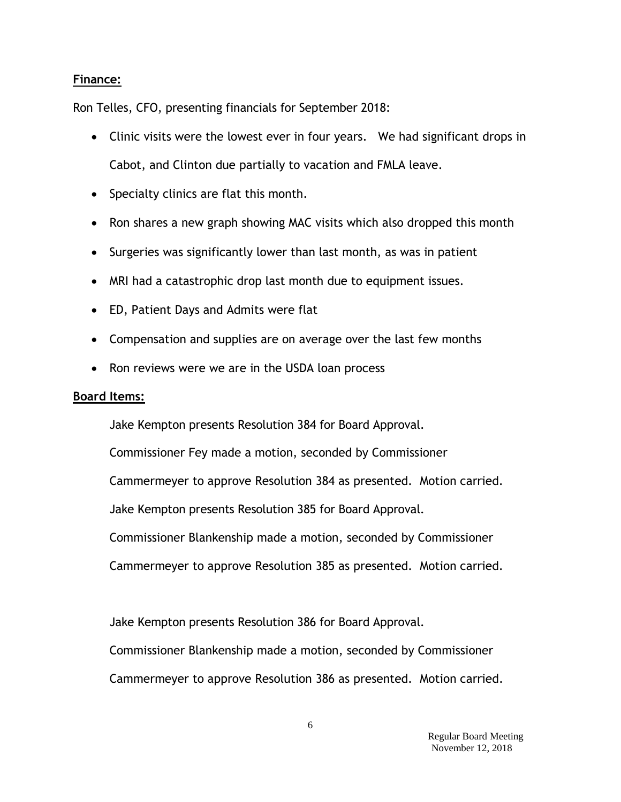## **Finance:**

Ron Telles, CFO, presenting financials for September 2018:

- Clinic visits were the lowest ever in four years. We had significant drops in Cabot, and Clinton due partially to vacation and FMLA leave.
- Specialty clinics are flat this month.
- Ron shares a new graph showing MAC visits which also dropped this month
- Surgeries was significantly lower than last month, as was in patient
- MRI had a catastrophic drop last month due to equipment issues.
- ED, Patient Days and Admits were flat
- Compensation and supplies are on average over the last few months
- Ron reviews were we are in the USDA loan process

## **Board Items:**

Jake Kempton presents Resolution 384 for Board Approval. Commissioner Fey made a motion, seconded by Commissioner Cammermeyer to approve Resolution 384 as presented. Motion carried. Jake Kempton presents Resolution 385 for Board Approval. Commissioner Blankenship made a motion, seconded by Commissioner Cammermeyer to approve Resolution 385 as presented. Motion carried.

Jake Kempton presents Resolution 386 for Board Approval.

Commissioner Blankenship made a motion, seconded by Commissioner

Cammermeyer to approve Resolution 386 as presented. Motion carried.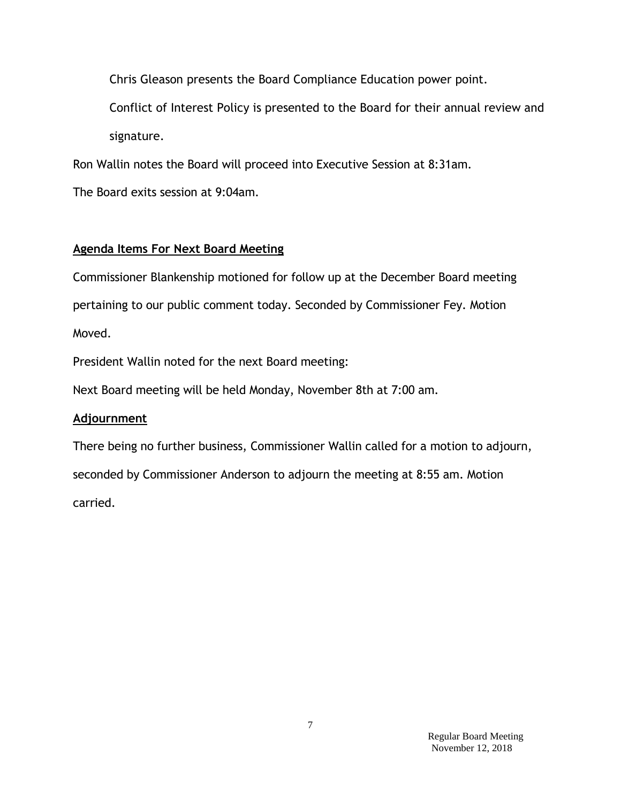Chris Gleason presents the Board Compliance Education power point.

Conflict of Interest Policy is presented to the Board for their annual review and signature.

Ron Wallin notes the Board will proceed into Executive Session at 8:31am.

The Board exits session at 9:04am.

# **Agenda Items For Next Board Meeting**

Commissioner Blankenship motioned for follow up at the December Board meeting pertaining to our public comment today. Seconded by Commissioner Fey. Motion Moved.

President Wallin noted for the next Board meeting:

Next Board meeting will be held Monday, November 8th at 7:00 am.

# **Adjournment**

There being no further business, Commissioner Wallin called for a motion to adjourn, seconded by Commissioner Anderson to adjourn the meeting at 8:55 am. Motion carried.